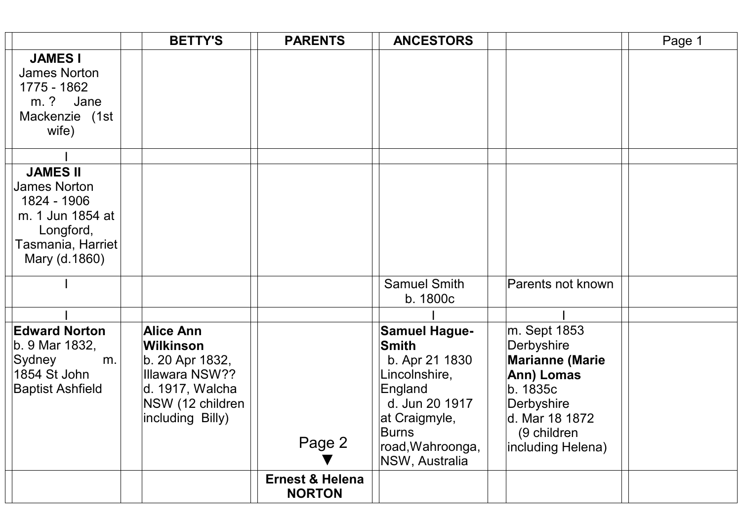|                                                                                                                       | <b>BETTY'S</b>                                                                                                                | <b>PARENTS</b>                              | <b>ANCESTORS</b>                                                                                                                                              |                                                                                                                                                    | Page 1 |
|-----------------------------------------------------------------------------------------------------------------------|-------------------------------------------------------------------------------------------------------------------------------|---------------------------------------------|---------------------------------------------------------------------------------------------------------------------------------------------------------------|----------------------------------------------------------------------------------------------------------------------------------------------------|--------|
| <b>JAMES I</b><br>James Norton<br>1775 - 1862<br>m. ?<br>Jane<br>Mackenzie (1st<br>wife)                              |                                                                                                                               |                                             |                                                                                                                                                               |                                                                                                                                                    |        |
|                                                                                                                       |                                                                                                                               |                                             |                                                                                                                                                               |                                                                                                                                                    |        |
| <b>JAMES II</b><br>James Norton<br>1824 - 1906<br>m. 1 Jun 1854 at<br>Longford,<br>Tasmania, Harriet<br>Mary (d.1860) |                                                                                                                               |                                             |                                                                                                                                                               |                                                                                                                                                    |        |
|                                                                                                                       |                                                                                                                               |                                             | <b>Samuel Smith</b><br>b. 1800c                                                                                                                               | Parents not known                                                                                                                                  |        |
|                                                                                                                       |                                                                                                                               |                                             |                                                                                                                                                               |                                                                                                                                                    |        |
| <b>Edward Norton</b><br>b. 9 Mar 1832,<br>Sydney<br>m.<br>1854 St John<br><b>Baptist Ashfield</b>                     | <b>Alice Ann</b><br>Wilkinson<br>b. 20 Apr 1832,<br>Illawara NSW??<br>d. 1917, Walcha<br>NSW (12 children<br>including Billy) | Page 2                                      | <b>Samuel Hague-</b><br>Smith<br>b. Apr 21 1830<br>Lincolnshire,<br>England<br>d. Jun 20 1917<br>at Craigmyle,<br>Burns<br>road, Wahroonga,<br>NSW, Australia | m. Sept 1853<br>Derbyshire<br><b>Marianne (Marie</b><br>Ann) Lomas<br>b. 1835c<br>Derbyshire<br>d. Mar 18 1872<br>(9 children<br>including Helena) |        |
|                                                                                                                       |                                                                                                                               | <b>Ernest &amp; Helena</b><br><b>NORTON</b> |                                                                                                                                                               |                                                                                                                                                    |        |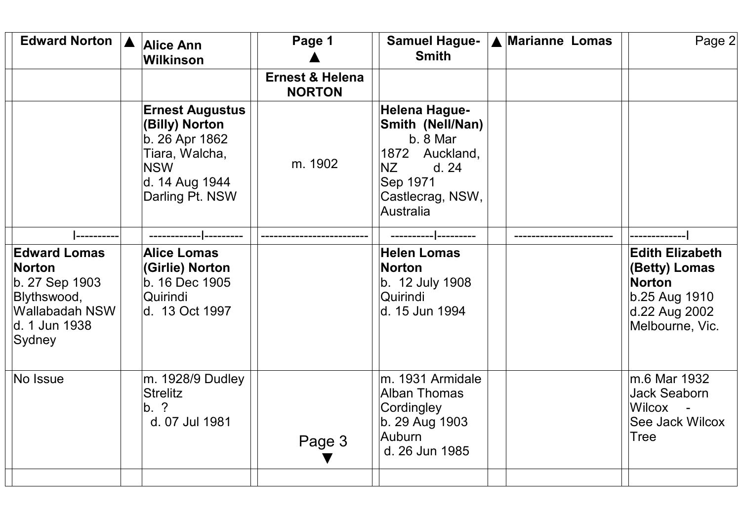| Edward Norton   A                                                                                                         | <b>Alice Ann</b><br><b>Wilkinson</b>                                                                                            | Page 1                                      | <b>Samuel Hague-</b><br><b>Smith</b>                                                                                        | A Marianne Lomas | Page 2                                                                                                        |
|---------------------------------------------------------------------------------------------------------------------------|---------------------------------------------------------------------------------------------------------------------------------|---------------------------------------------|-----------------------------------------------------------------------------------------------------------------------------|------------------|---------------------------------------------------------------------------------------------------------------|
|                                                                                                                           |                                                                                                                                 | <b>Ernest &amp; Helena</b><br><b>NORTON</b> |                                                                                                                             |                  |                                                                                                               |
|                                                                                                                           | <b>Ernest Augustus</b><br>(Billy) Norton<br>b. 26 Apr 1862<br>Tiara, Walcha,<br><b>NSW</b><br>d. 14 Aug 1944<br>Darling Pt. NSW | m. 1902                                     | Helena Hague-<br>Smith (Nell/Nan)<br>b. 8 Mar<br>1872 Auckland,<br>NZ<br>d. 24<br>Sep 1971<br>Castlecrag, NSW,<br>Australia |                  |                                                                                                               |
|                                                                                                                           |                                                                                                                                 |                                             |                                                                                                                             |                  |                                                                                                               |
| <b>Edward Lomas</b><br><b>Norton</b><br>b. 27 Sep 1903<br>Blythswood,<br><b>Wallabadah NSW</b><br>d. 1 Jun 1938<br>Sydney | <b>Alice Lomas</b><br>(Girlie) Norton<br>b. 16 Dec 1905<br>Quirindi<br>d. 13 Oct 1997                                           |                                             | <b>Helen Lomas</b><br>Norton<br>b. 12 July 1908<br>Quirindi<br>ld. 15 Jun 1994                                              |                  | <b>Edith Elizabeth</b><br>(Betty) Lomas<br><b>Norton</b><br>b.25 Aug 1910<br>d.22 Aug 2002<br>Melbourne, Vic. |
| No Issue                                                                                                                  | m. 1928/9 Dudley<br><b>Strelitz</b><br>$\mathsf{b}$ . ?<br>d. 07 Jul 1981                                                       | Page 3                                      | m. 1931 Armidale<br>Alban Thomas<br>Cordingley<br>b. 29 Aug 1903<br>Auburn<br>d. 26 Jun 1985                                |                  | m.6 Mar 1932<br><b>Jack Seaborn</b><br>Wilcox<br>See Jack Wilcox<br>Tree                                      |
|                                                                                                                           |                                                                                                                                 |                                             |                                                                                                                             |                  |                                                                                                               |